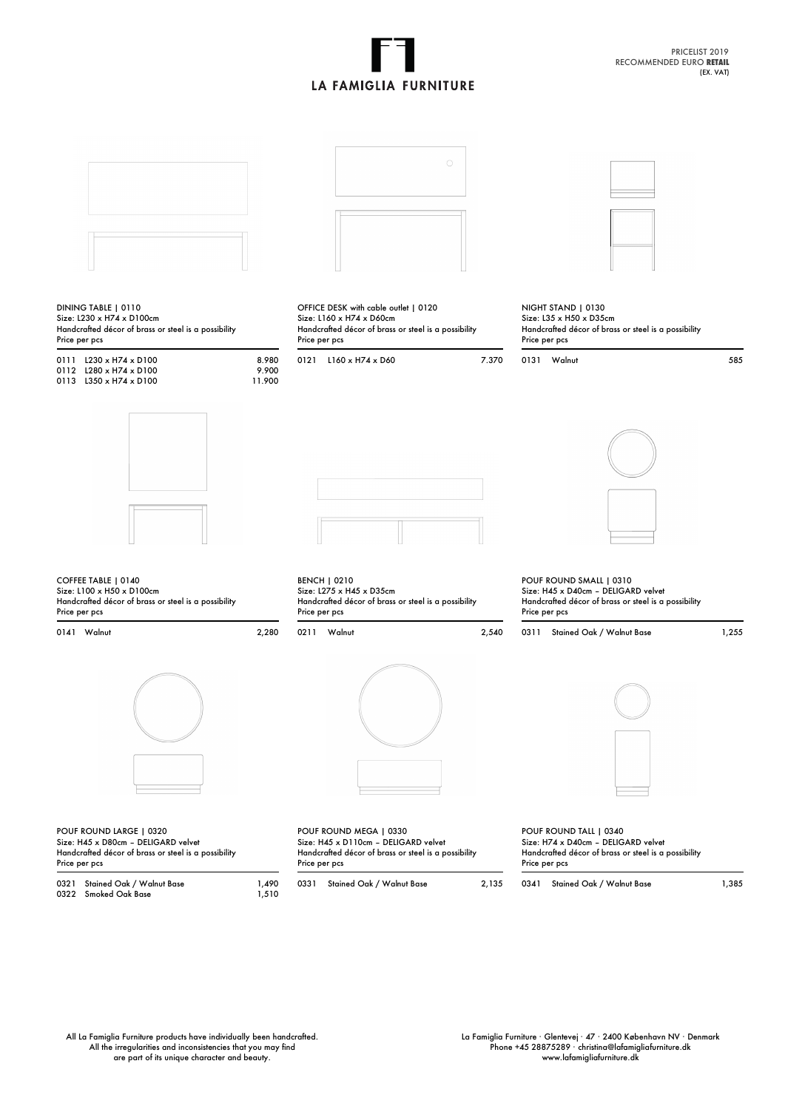## **LA FAMIGLIA FURNITURE**

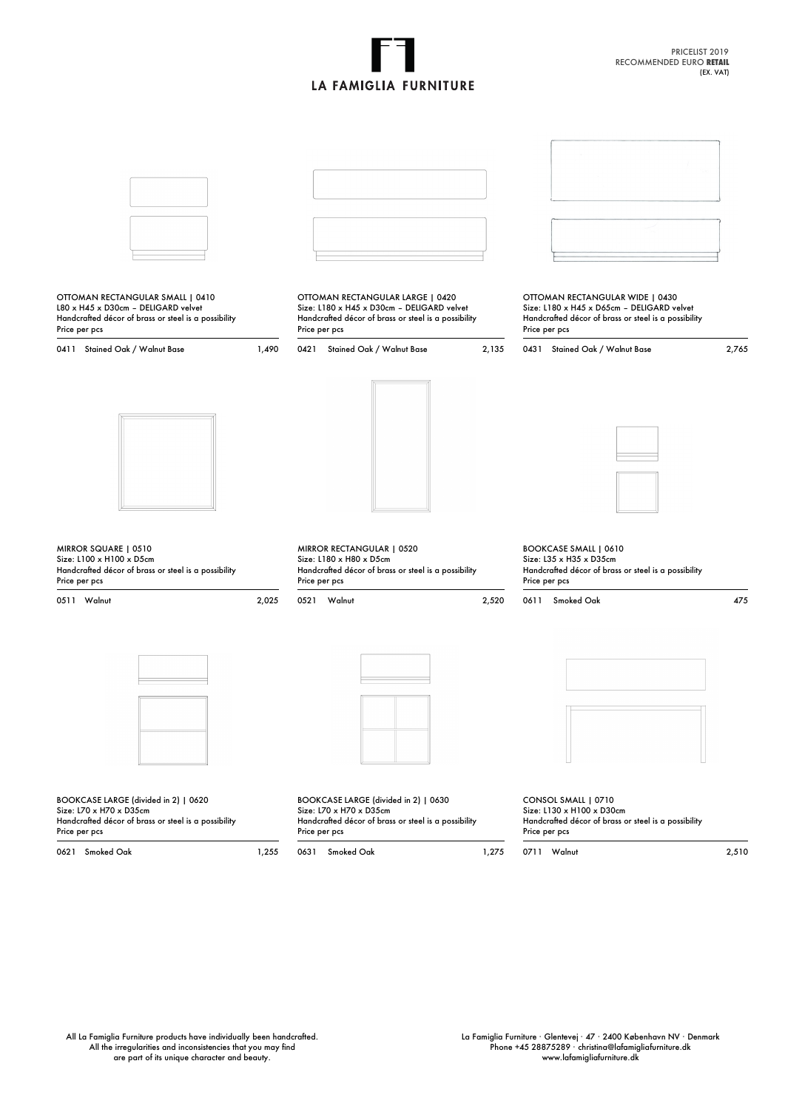## **LA FAMIGLIA FURNITURE**